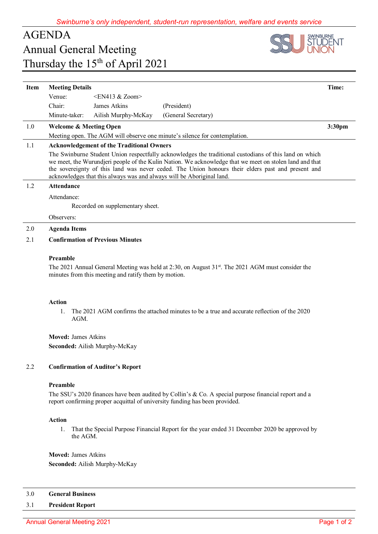# AGENDA Annual General Meeting Thursday the 15<sup>th</sup> of April 2021



| Item | <b>Meeting Details</b>                                                                                                                                                                                                                                                                                                                                                                          |                     |                     | Time:  |
|------|-------------------------------------------------------------------------------------------------------------------------------------------------------------------------------------------------------------------------------------------------------------------------------------------------------------------------------------------------------------------------------------------------|---------------------|---------------------|--------|
|      | $\leq$ EN413 & Zoom $>$<br>Venue:                                                                                                                                                                                                                                                                                                                                                               |                     |                     |        |
|      | Chair:                                                                                                                                                                                                                                                                                                                                                                                          | James Atkins        | (President)         |        |
|      | Minute-taker:                                                                                                                                                                                                                                                                                                                                                                                   | Ailish Murphy-McKay | (General Secretary) |        |
| 1.0  | <b>Welcome &amp; Meeting Open</b>                                                                                                                                                                                                                                                                                                                                                               |                     |                     | 3:30pm |
|      | Meeting open. The AGM will observe one minute's silence for contemplation.                                                                                                                                                                                                                                                                                                                      |                     |                     |        |
| 1.1  | <b>Acknowledgement of the Traditional Owners</b>                                                                                                                                                                                                                                                                                                                                                |                     |                     |        |
|      | The Swinburne Student Union respectfully acknowledges the traditional custodians of this land on which<br>we meet, the Wurundjeri people of the Kulin Nation. We acknowledge that we meet on stolen land and that<br>the sovereignty of this land was never ceded. The Union honours their elders past and present and<br>acknowledges that this always was and always will be Aboriginal land. |                     |                     |        |
| 1.2  | <b>Attendance</b>                                                                                                                                                                                                                                                                                                                                                                               |                     |                     |        |
|      | Attendance:                                                                                                                                                                                                                                                                                                                                                                                     |                     |                     |        |
|      | Recorded on supplementary sheet.                                                                                                                                                                                                                                                                                                                                                                |                     |                     |        |
|      | Observers:                                                                                                                                                                                                                                                                                                                                                                                      |                     |                     |        |
| 2.0  | <b>Agenda Items</b>                                                                                                                                                                                                                                                                                                                                                                             |                     |                     |        |
| 2.1  | <b>Confirmation of Previous Minutes</b>                                                                                                                                                                                                                                                                                                                                                         |                     |                     |        |
|      | Preamble                                                                                                                                                                                                                                                                                                                                                                                        |                     |                     |        |
|      | The 2021 Annual General Meeting was held at 2:30, on August $31^{st}$ . The 2021 AGM must consider the<br>minutes from this meeting and ratify them by motion.                                                                                                                                                                                                                                  |                     |                     |        |

### **Action**

1. The 2021 AGM confirms the attached minutes to be a true and accurate reflection of the 2020 AGM.

**Moved:** James Atkins **Seconded:** Ailish Murphy-McKay

## 2.2 **Confirmation of Auditor's Report**

## **Preamble**

The SSU's 2020 finances have been audited by Collin's & Co. A special purpose financial report and a report confirming proper acquittal of university funding has been provided.

### **Action**

1. That the Special Purpose Financial Report for the year ended 31 December 2020 be approved by the AGM.

**Moved:** James Atkins **Seconded:** Ailish Murphy-McKay

### 3.0 **General Business**

## 3.1 **President Report**